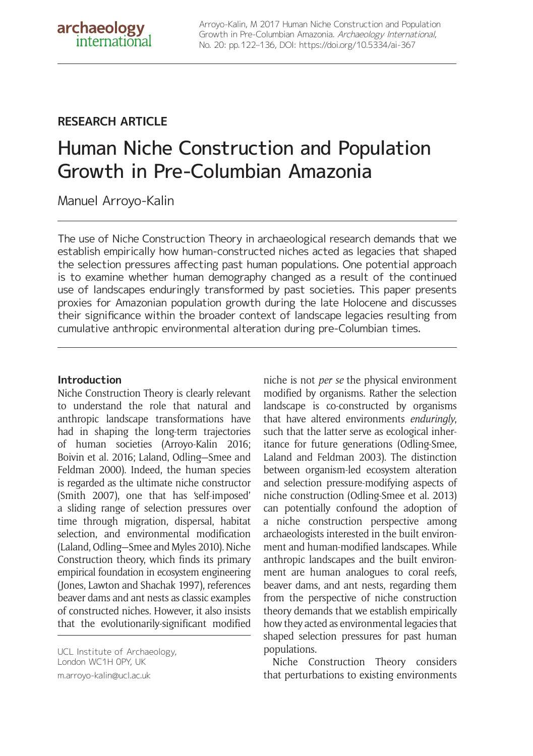## **RESEARCH ARTICLE**

# Human Niche Construction and Population Growth in Pre-Columbian Amazonia

Manuel Arroyo-Kalin

The use of Niche Construction Theory in archaeological research demands that we establish empirically how human-constructed niches acted as legacies that shaped the selection pressures affecting past human populations. One potential approach is to examine whether human demography changed as a result of the continued use of landscapes enduringly transformed by past societies. This paper presents proxies for Amazonian population growth during the late Holocene and discusses their significance within the broader context of landscape legacies resulting from cumulative anthropic environmental alteration during pre-Columbian times.

## **Introduction**

Niche Construction Theory is clearly relevant to understand the role that natural and anthropic landscape transformations have had in shaping the long-term trajectories of human societies (Arroyo-Kalin 2016; Boivin et al. 2016; Laland, Odling—Smee and Feldman 2000). Indeed, the human species is regarded as the ultimate niche constructor (Smith 2007), one that has 'self-imposed' a sliding range of selection pressures over time through migration, dispersal, habitat selection, and environmental modification (Laland, Odling—Smee and Myles 2010). Niche Construction theory, which finds its primary empirical foundation in ecosystem engineering (Jones, Lawton and Shachak 1997), references beaver dams and ant nests as classic examples of constructed niches. However, it also insists that the evolutionarily-significant modified

UCL Institute of Archaeology, London WC1H 0PY, UK [m.arroyo-kalin@ucl.ac.uk](mailto:m.arroyo-kalin@ucl.ac.uk)

niche is not *per se* the physical environment modified by organisms. Rather the selection landscape is co-constructed by organisms that have altered environments *enduringly*, such that the latter serve as ecological inheritance for future generations (Odling-Smee, Laland and Feldman 2003). The distinction between organism-led ecosystem alteration and selection pressure-modifying aspects of niche construction (Odling-Smee et al. 2013) can potentially confound the adoption of a niche construction perspective among archaeologists interested in the built environment and human-modified landscapes. While anthropic landscapes and the built environment are human analogues to coral reefs, beaver dams, and ant nests, regarding them from the perspective of niche construction theory demands that we establish empirically how they acted as environmental legacies that shaped selection pressures for past human populations.

Niche Construction Theory considers that perturbations to existing environments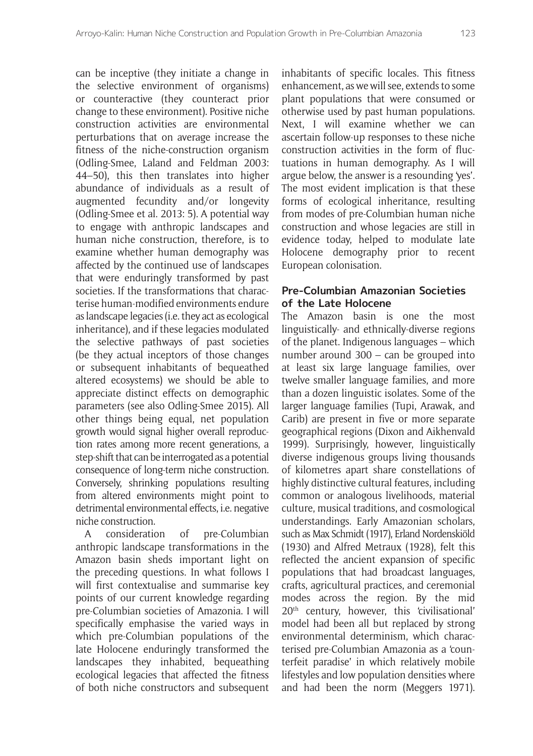can be inceptive (they initiate a change in the selective environment of organisms) or counteractive (they counteract prior change to these environment). Positive niche construction activities are environmental perturbations that on average increase the fitness of the niche-construction organism (Odling-Smee, Laland and Feldman 2003: 44–50), this then translates into higher abundance of individuals as a result of augmented fecundity and/or longevity (Odling-Smee et al. 2013: 5). A potential way to engage with anthropic landscapes and human niche construction, therefore, is to examine whether human demography was affected by the continued use of landscapes that were enduringly transformed by past societies. If the transformations that characterise human-modified environments endure as landscape legacies (i.e. they act as ecological inheritance), and if these legacies modulated the selective pathways of past societies (be they actual inceptors of those changes or subsequent inhabitants of bequeathed altered ecosystems) we should be able to appreciate distinct effects on demographic parameters (see also Odling-Smee 2015). All other things being equal, net population growth would signal higher overall reproduction rates among more recent generations, a step-shift that can be interrogated as a potential consequence of long-term niche construction. Conversely, shrinking populations resulting from altered environments might point to detrimental environmental effects, i.e. negative niche construction.

A consideration of pre-Columbian anthropic landscape transformations in the Amazon basin sheds important light on the preceding questions. In what follows I will first contextualise and summarise key points of our current knowledge regarding pre-Columbian societies of Amazonia. I will specifically emphasise the varied ways in which pre-Columbian populations of the late Holocene enduringly transformed the landscapes they inhabited, bequeathing ecological legacies that affected the fitness of both niche constructors and subsequent

inhabitants of specific locales. This fitness enhancement, as we will see, extends to some plant populations that were consumed or otherwise used by past human populations. Next, I will examine whether we can ascertain follow-up responses to these niche construction activities in the form of fluctuations in human demography. As I will argue below, the answer is a resounding 'yes'. The most evident implication is that these forms of ecological inheritance, resulting from modes of pre-Columbian human niche construction and whose legacies are still in evidence today, helped to modulate late Holocene demography prior to recent European colonisation.

## **Pre-Columbian Amazonian Societies of the Late Holocene**

The Amazon basin is one the most linguistically- and ethnically-diverse regions of the planet. Indigenous languages – which number around 300 – can be grouped into at least six large language families, over twelve smaller language families, and more than a dozen linguistic isolates. Some of the larger language families (Tupi, Arawak, and Carib) are present in five or more separate geographical regions (Dixon and Aikhenvald 1999). Surprisingly, however, linguistically diverse indigenous groups living thousands of kilometres apart share constellations of highly distinctive cultural features, including common or analogous livelihoods, material culture, musical traditions, and cosmological understandings. Early Amazonian scholars, such as Max Schmidt (1917), Erland Nordenskiöld (1930) and Alfred Metraux (1928), felt this reflected the ancient expansion of specific populations that had broadcast languages, crafts, agricultural practices, and ceremonial modes across the region. By the mid 20<sup>th</sup> century, however, this 'civilisational' model had been all but replaced by strong environmental determinism, which characterised pre-Columbian Amazonia as a 'counterfeit paradise' in which relatively mobile lifestyles and low population densities where and had been the norm (Meggers 1971).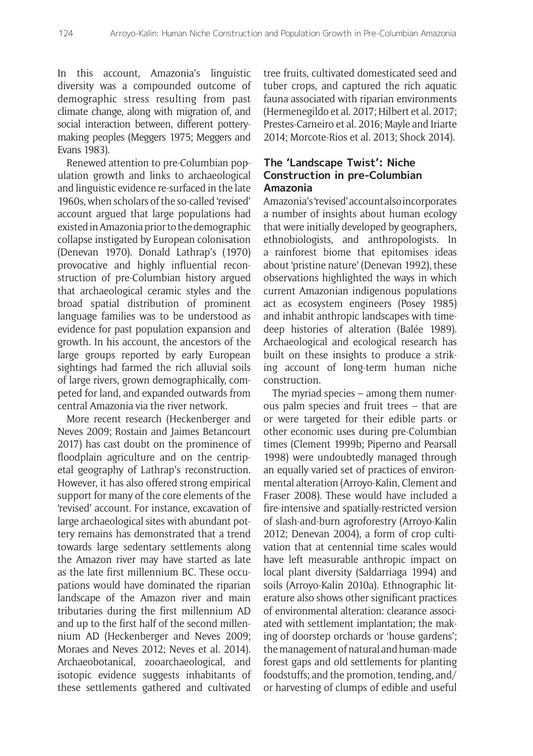In this account, Amazonia's linguistic diversity was a compounded outcome of demographic stress resulting from past climate change, along with migration of, and social interaction between, different potterymaking peoples (Meggers 1975; Meggers and Evans 1983).

Renewed attention to pre-Columbian population growth and links to archaeological and linguistic evidence re-surfaced in the late 1960s, when scholars of the so-called 'revised' account argued that large populations had existed in Amazonia prior to the demographic collapse instigated by European colonisation (Denevan 1970). Donald Lathrap's (1970) provocative and highly influential reconstruction of pre-Columbian history argued that archaeological ceramic styles and the broad spatial distribution of prominent language families was to be understood as evidence for past population expansion and growth. In his account, the ancestors of the large groups reported by early European sightings had farmed the rich alluvial soils of large rivers, grown demographically, competed for land, and expanded outwards from central Amazonia via the river network.

More recent research (Heckenberger and Neves 2009; Rostain and Jaimes Betancourt 2017) has cast doubt on the prominence of floodplain agriculture and on the centripetal geography of Lathrap's reconstruction. However, it has also offered strong empirical support for many of the core elements of the 'revised' account. For instance, excavation of large archaeological sites with abundant pottery remains has demonstrated that a trend towards large sedentary settlements along the Amazon river may have started as late as the late first millennium BC. These occupations would have dominated the riparian landscape of the Amazon river and main tributaries during the first millennium AD and up to the first half of the second millennium AD (Heckenberger and Neves 2009; Moraes and Neves 2012; Neves et al. 2014). Archaeobotanical, zooarchaeological, and isotopic evidence suggests inhabitants of these settlements gathered and cultivated tree fruits, cultivated domesticated seed and tuber crops, and captured the rich aquatic fauna associated with riparian environments (Hermenegildo et al. 2017; Hilbert et al. 2017; Prestes-Carneiro et al. 2016; Mayle and Iriarte 2014; Morcote-Rios et al. 2013; Shock 2014).

## **The 'Landscape Twist': Niche Construction in pre-Columbian Amazonia**

Amazonia's 'revised' account also incorporates a number of insights about human ecology that were initially developed by geographers, ethnobiologists, and anthropologists. In a rainforest biome that epitomises ideas about 'pristine nature' (Denevan 1992), these observations highlighted the ways in which current Amazonian indigenous populations act as ecosystem engineers (Posey 1985) and inhabit anthropic landscapes with timedeep histories of alteration (Balée 1989). Archaeological and ecological research has built on these insights to produce a striking account of long-term human niche construction.

The myriad species – among them numerous palm species and fruit trees – that are or were targeted for their edible parts or other economic uses during pre-Columbian times (Clement 1999b; Piperno and Pearsall 1998) were undoubtedly managed through an equally varied set of practices of environmental alteration (Arroyo-Kalin, Clement and Fraser 2008). These would have included a fire-intensive and spatially-restricted version of slash-and-burn agroforestry (Arroyo-Kalin 2012; Denevan 2004), a form of crop cultivation that at centennial time scales would have left measurable anthropic impact on local plant diversity (Saldarriaga 1994) and soils (Arroyo-Kalin 2010a). Ethnographic literature also shows other significant practices of environmental alteration: clearance associated with settlement implantation; the making of doorstep orchards or 'house gardens'; the management of natural and human-made forest gaps and old settlements for planting foodstuffs; and the promotion, tending, and/ or harvesting of clumps of edible and useful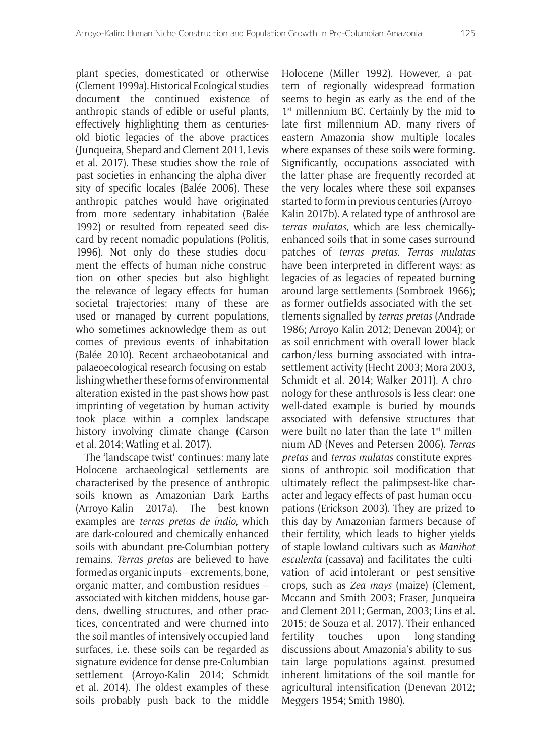plant species, domesticated or otherwise (Clement 1999a). Historical Ecological studies document the continued existence of anthropic stands of edible or useful plants, effectively highlighting them as centuriesold biotic legacies of the above practices (Junqueira, Shepard and Clement 2011, Levis et al. 2017). These studies show the role of past societies in enhancing the alpha diversity of specific locales (Balée 2006). These anthropic patches would have originated from more sedentary inhabitation (Balée 1992) or resulted from repeated seed discard by recent nomadic populations (Politis, 1996). Not only do these studies document the effects of human niche construction on other species but also highlight the relevance of legacy effects for human societal trajectories: many of these are used or managed by current populations, who sometimes acknowledge them as outcomes of previous events of inhabitation (Balée 2010). Recent archaeobotanical and palaeoecological research focusing on establishing whether these forms of environmental alteration existed in the past shows how past imprinting of vegetation by human activity took place within a complex landscape history involving climate change (Carson et al. 2014; Watling et al. 2017).

The 'landscape twist' continues: many late Holocene archaeological settlements are characterised by the presence of anthropic soils known as Amazonian Dark Earths (Arroyo-Kalin 2017a). The best-known examples are *terras pretas de índio*, which are dark-coloured and chemically enhanced soils with abundant pre-Columbian pottery remains. *Terras pretas* are believed to have formed as organic inputs – excrements, bone, organic matter, and combustion residues – associated with kitchen middens, house gardens, dwelling structures, and other practices, concentrated and were churned into the soil mantles of intensively occupied land surfaces, i.e. these soils can be regarded as signature evidence for dense pre-Columbian settlement (Arroyo-Kalin 2014; Schmidt et al. 2014). The oldest examples of these soils probably push back to the middle Holocene (Miller 1992). However, a pattern of regionally widespread formation seems to begin as early as the end of the 1<sup>st</sup> millennium BC. Certainly by the mid to late first millennium AD, many rivers of eastern Amazonia show multiple locales where expanses of these soils were forming. Significantly, occupations associated with the latter phase are frequently recorded at the very locales where these soil expanses started to form in previous centuries (Arroyo-Kalin 2017b). A related type of anthrosol are *terras mulatas*, which are less chemicallyenhanced soils that in some cases surround patches of *terras pretas*. *Terras mulatas* have been interpreted in different ways: as legacies of as legacies of repeated burning around large settlements (Sombroek 1966); as former outfields associated with the settlements signalled by *terras pretas* (Andrade 1986; Arroyo-Kalin 2012; Denevan 2004); or as soil enrichment with overall lower black carbon/less burning associated with intrasettlement activity (Hecht 2003; Mora 2003, Schmidt et al. 2014; Walker 2011). A chronology for these anthrosols is less clear: one well-dated example is buried by mounds associated with defensive structures that were built no later than the late  $1<sup>st</sup>$  millennium AD (Neves and Petersen 2006). *Terras pretas* and *terras mulatas* constitute expressions of anthropic soil modification that ultimately reflect the palimpsest-like character and legacy effects of past human occupations (Erickson 2003). They are prized to this day by Amazonian farmers because of their fertility, which leads to higher yields of staple lowland cultivars such as *Manihot esculenta* (cassava) and facilitates the cultivation of acid-intolerant or pest-sensitive crops, such as *Zea mays* (maize) (Clement, Mccann and Smith 2003; Fraser, Junqueira and Clement 2011; German, 2003; Lins et al. 2015; de Souza et al. 2017). Their enhanced fertility touches upon long-standing discussions about Amazonia's ability to sustain large populations against presumed inherent limitations of the soil mantle for agricultural intensification (Denevan 2012; Meggers 1954; Smith 1980).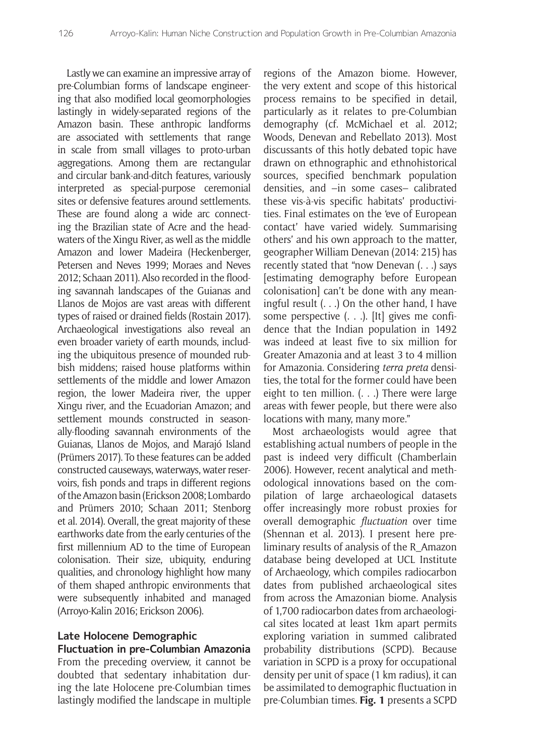Lastly we can examine an impressive array of pre-Columbian forms of landscape engineering that also modified local geomorphologies lastingly in widely-separated regions of the Amazon basin. These anthropic landforms are associated with settlements that range in scale from small villages to proto-urban aggregations. Among them are rectangular and circular bank-and-ditch features, variously interpreted as special-purpose ceremonial sites or defensive features around settlements. These are found along a wide arc connecting the Brazilian state of Acre and the headwaters of the Xingu River, as well as the middle Amazon and lower Madeira (Heckenberger, Petersen and Neves 1999; Moraes and Neves 2012; Schaan 2011). Also recorded in the flooding savannah landscapes of the Guianas and Llanos de Mojos are vast areas with different types of raised or drained fields (Rostain 2017). Archaeological investigations also reveal an even broader variety of earth mounds, including the ubiquitous presence of mounded rubbish middens; raised house platforms within settlements of the middle and lower Amazon region, the lower Madeira river, the upper Xingu river, and the Ecuadorian Amazon; and settlement mounds constructed in seasonally-flooding savannah environments of the Guianas, Llanos de Mojos, and Marajó Island (Prümers 2017). To these features can be added constructed causeways, waterways, water reservoirs, fish ponds and traps in different regions of the Amazon basin (Erickson 2008; Lombardo and Prümers 2010; Schaan 2011; Stenborg et al. 2014). Overall, the great majority of these earthworks date from the early centuries of the first millennium AD to the time of European colonisation. Their size, ubiquity, enduring qualities, and chronology highlight how many of them shaped anthropic environments that were subsequently inhabited and managed (Arroyo-Kalin 2016; Erickson 2006).

#### **Late Holocene Demographic Fluctuation in pre-Columbian Amazonia**

From the preceding overview, it cannot be doubted that sedentary inhabitation during the late Holocene pre-Columbian times lastingly modified the landscape in multiple regions of the Amazon biome. However, the very extent and scope of this historical process remains to be specified in detail, particularly as it relates to pre-Columbian demography (cf. McMichael et al. 2012; Woods, Denevan and Rebellato 2013). Most discussants of this hotly debated topic have drawn on ethnographic and ethnohistorical sources, specified benchmark population densities, and –in some cases– calibrated these vis-à-vis specific habitats' productivities. Final estimates on the 'eve of European contact' have varied widely. Summarising others' and his own approach to the matter, geographer William Denevan (2014: 215) has recently stated that "now Denevan (. . .) says [estimating demography before European colonisation] can't be done with any meaningful result (. . .) On the other hand, I have some perspective (. . .). [It] gives me confidence that the Indian population in 1492 was indeed at least five to six million for Greater Amazonia and at least 3 to 4 million for Amazonia. Considering *terra preta* densities, the total for the former could have been eight to ten million. (. . .) There were large areas with fewer people, but there were also locations with many, many more."

Most archaeologists would agree that establishing actual numbers of people in the past is indeed very difficult (Chamberlain 2006). However, recent analytical and methodological innovations based on the compilation of large archaeological datasets offer increasingly more robust proxies for overall demographic *fluctuation* over time (Shennan et al. 2013). I present here preliminary results of analysis of the R\_Amazon database being developed at UCL Institute of Archaeology, which compiles radiocarbon dates from published archaeological sites from across the Amazonian biome. Analysis of 1,700 radiocarbon dates from archaeological sites located at least 1km apart permits exploring variation in summed calibrated probability distributions (SCPD). Because variation in SCPD is a proxy for occupational density per unit of space (1 km radius), it can be assimilated to demographic fluctuation in pre-Columbian times. **Fig. 1** presents a SCPD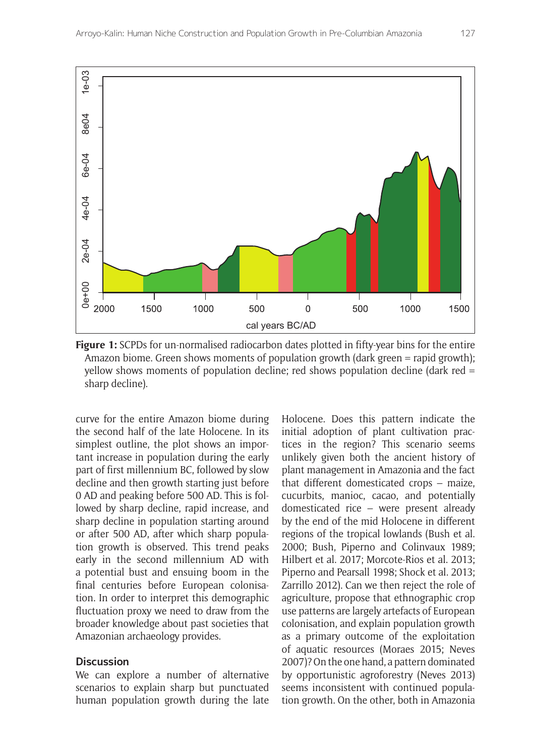

**Figure 1:** SCPDs for un-normalised radiocarbon dates plotted in fifty-year bins for the entire Amazon biome. Green shows moments of population growth (dark green = rapid growth); yellow shows moments of population decline; red shows population decline (dark red =

curve for the entire Amazon biome during the second half of the late Holocene. In its simplest outline, the plot shows an important increase in population during the early part of first millennium BC, followed by slow decline and then growth starting just before 0 AD and peaking before 500 AD. This is followed by sharp decline, rapid increase, and sharp decline in population starting around or after 500 AD, after which sharp population growth is observed. This trend peaks early in the second millennium AD with a potential bust and ensuing boom in the final centuries before European colonisation. In order to interpret this demographic fluctuation proxy we need to draw from the broader knowledge about past societies that Amazonian archaeology provides.

#### **Discussion**

We can explore a number of alternative scenarios to explain sharp but punctuated human population growth during the late

Holocene. Does this pattern indicate the initial adoption of plant cultivation practices in the region? This scenario seems unlikely given both the ancient history of plant management in Amazonia and the fact that different domesticated crops – maize, cucurbits, manioc, cacao, and potentially domesticated rice – were present already by the end of the mid Holocene in different regions of the tropical lowlands (Bush et al. 2000; Bush, Piperno and Colinvaux 1989; Hilbert et al. 2017; Morcote-Rios et al. 2013; Piperno and Pearsall 1998; Shock et al. 2013; Zarrillo 2012). Can we then reject the role of agriculture, propose that ethnographic crop use patterns are largely artefacts of European colonisation, and explain population growth as a primary outcome of the exploitation of aquatic resources (Moraes 2015; Neves 2007)? On the one hand, a pattern dominated by opportunistic agroforestry (Neves 2013) seems inconsistent with continued population growth. On the other, both in Amazonia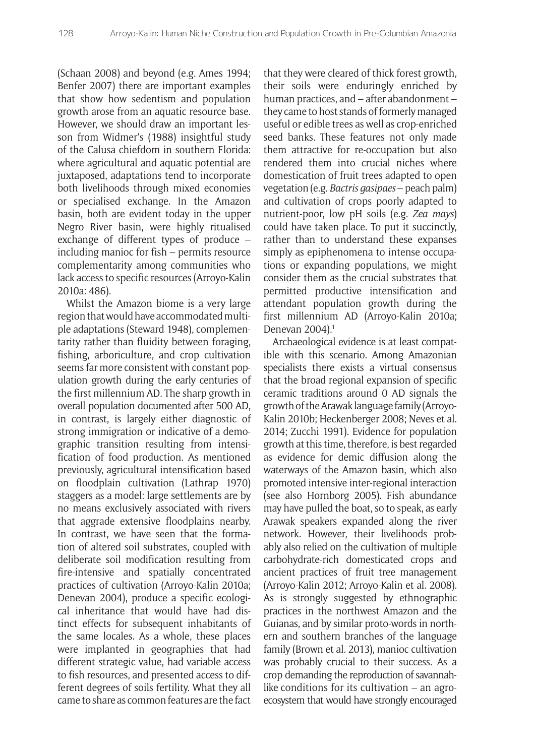(Schaan 2008) and beyond (e.g. Ames 1994; Benfer 2007) there are important examples that show how sedentism and population growth arose from an aquatic resource base. However, we should draw an important lesson from Widmer's (1988) insightful study of the Calusa chiefdom in southern Florida: where agricultural and aquatic potential are juxtaposed, adaptations tend to incorporate both livelihoods through mixed economies or specialised exchange. In the Amazon basin, both are evident today in the upper Negro River basin, were highly ritualised exchange of different types of produce – including manioc for fish – permits resource complementarity among communities who lack access to specific resources (Arroyo-Kalin 2010a: 486).

Whilst the Amazon biome is a very large region that would have accommodated multiple adaptations (Steward 1948), complementarity rather than fluidity between foraging, fishing, arboriculture, and crop cultivation seems far more consistent with constant population growth during the early centuries of the first millennium AD. The sharp growth in overall population documented after 500 AD, in contrast, is largely either diagnostic of strong immigration or indicative of a demographic transition resulting from intensification of food production. As mentioned previously, agricultural intensification based on floodplain cultivation (Lathrap 1970) staggers as a model: large settlements are by no means exclusively associated with rivers that aggrade extensive floodplains nearby. In contrast, we have seen that the formation of altered soil substrates, coupled with deliberate soil modification resulting from fire-intensive and spatially concentrated practices of cultivation (Arroyo-Kalin 2010a; Denevan 2004), produce a specific ecological inheritance that would have had distinct effects for subsequent inhabitants of the same locales. As a whole, these places were implanted in geographies that had different strategic value, had variable access to fish resources, and presented access to different degrees of soils fertility. What they all came to share as common features are the fact that they were cleared of thick forest growth, their soils were enduringly enriched by human practices, and – after abandonment – they came to host stands of formerly managed useful or edible trees as well as crop-enriched seed banks. These features not only made them attractive for re-occupation but also rendered them into crucial niches where domestication of fruit trees adapted to open vegetation (e.g. *Bactris gasipaes* – peach palm) and cultivation of crops poorly adapted to nutrient-poor, low pH soils (e.g. *Zea mays*) could have taken place. To put it succinctly, rather than to understand these expanses simply as epiphenomena to intense occupations or expanding populations, we might consider them as the crucial substrates that permitted productive intensification and attendant population growth during the first millennium AD (Arroyo-Kalin 2010a; Denevan 2004).<sup>1</sup>

Archaeological evidence is at least compatible with this scenario. Among Amazonian specialists there exists a virtual consensus that the broad regional expansion of specific ceramic traditions around 0 AD signals the growth of the Arawak language family (Arroyo-Kalin 2010b; Heckenberger 2008; Neves et al. 2014; Zucchi 1991). Evidence for population growth at this time, therefore, is best regarded as evidence for demic diffusion along the waterways of the Amazon basin, which also promoted intensive inter-regional interaction (see also Hornborg 2005). Fish abundance may have pulled the boat, so to speak, as early Arawak speakers expanded along the river network. However, their livelihoods probably also relied on the cultivation of multiple carbohydrate-rich domesticated crops and ancient practices of fruit tree management (Arroyo-Kalin 2012; Arroyo-Kalin et al. 2008). As is strongly suggested by ethnographic practices in the northwest Amazon and the Guianas, and by similar proto-words in northern and southern branches of the language family (Brown et al. 2013), manioc cultivation was probably crucial to their success. As a crop demanding the reproduction of savannahlike conditions for its cultivation – an agroecosystem that would have strongly encouraged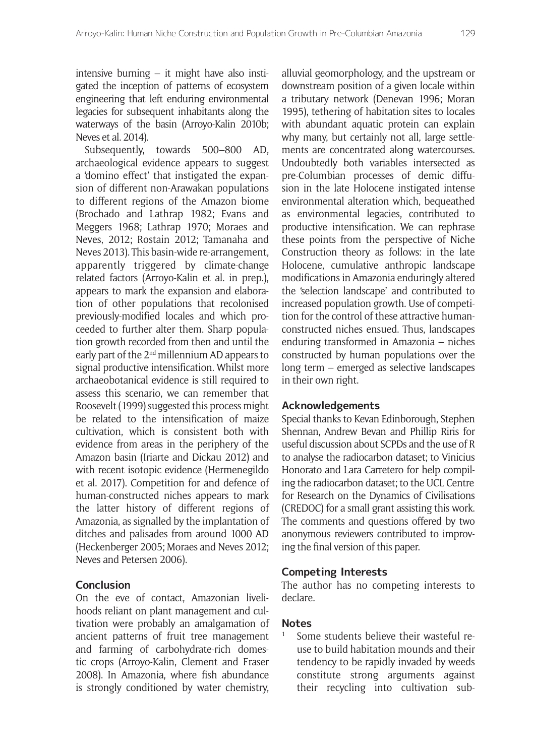intensive burning – it might have also instigated the inception of patterns of ecosystem engineering that left enduring environmental legacies for subsequent inhabitants along the waterways of the basin (Arroyo-Kalin 2010b; Neves et al. 2014).

Subsequently, towards 500–800 AD, archaeological evidence appears to suggest a 'domino effect' that instigated the expansion of different non-Arawakan populations to different regions of the Amazon biome (Brochado and Lathrap 1982; Evans and Meggers 1968; Lathrap 1970; Moraes and Neves, 2012; Rostain 2012; Tamanaha and Neves 2013). This basin-wide re-arrangement, apparently triggered by climate-change related factors (Arroyo-Kalin et al. in prep.), appears to mark the expansion and elaboration of other populations that recolonised previously-modified locales and which proceeded to further alter them. Sharp population growth recorded from then and until the early part of the 2nd millennium AD appears to signal productive intensification. Whilst more archaeobotanical evidence is still required to assess this scenario, we can remember that Roosevelt (1999) suggested this process might be related to the intensification of maize cultivation, which is consistent both with evidence from areas in the periphery of the Amazon basin (Iriarte and Dickau 2012) and with recent isotopic evidence (Hermenegildo et al. 2017). Competition for and defence of human-constructed niches appears to mark the latter history of different regions of Amazonia, as signalled by the implantation of ditches and palisades from around 1000 AD (Heckenberger 2005; Moraes and Neves 2012; Neves and Petersen 2006).

#### **Conclusion**

On the eve of contact, Amazonian livelihoods reliant on plant management and cultivation were probably an amalgamation of ancient patterns of fruit tree management and farming of carbohydrate-rich domestic crops (Arroyo-Kalin, Clement and Fraser 2008). In Amazonia, where fish abundance is strongly conditioned by water chemistry,

alluvial geomorphology, and the upstream or downstream position of a given locale within a tributary network (Denevan 1996; Moran 1995), tethering of habitation sites to locales with abundant aquatic protein can explain why many, but certainly not all, large settlements are concentrated along watercourses. Undoubtedly both variables intersected as pre-Columbian processes of demic diffusion in the late Holocene instigated intense environmental alteration which, bequeathed as environmental legacies, contributed to productive intensification. We can rephrase these points from the perspective of Niche Construction theory as follows: in the late Holocene, cumulative anthropic landscape modifications in Amazonia enduringly altered the 'selection landscape' and contributed to increased population growth. Use of competition for the control of these attractive humanconstructed niches ensued. Thus, landscapes enduring transformed in Amazonia – niches constructed by human populations over the long term – emerged as selective landscapes in their own right.

#### **Acknowledgements**

Special thanks to Kevan Edinborough, Stephen Shennan, Andrew Bevan and Phillip Riris for useful discussion about SCPDs and the use of R to analyse the radiocarbon dataset; to Vinicius Honorato and Lara Carretero for help compiling the radiocarbon dataset; to the UCL Centre for Research on the Dynamics of Civilisations (CREDOC) for a small grant assisting this work. The comments and questions offered by two anonymous reviewers contributed to improving the final version of this paper.

#### **Competing Interests**

The author has no competing interests to declare.

## **Notes**

1 Some students believe their wasteful reuse to build habitation mounds and their tendency to be rapidly invaded by weeds constitute strong arguments against their recycling into cultivation sub-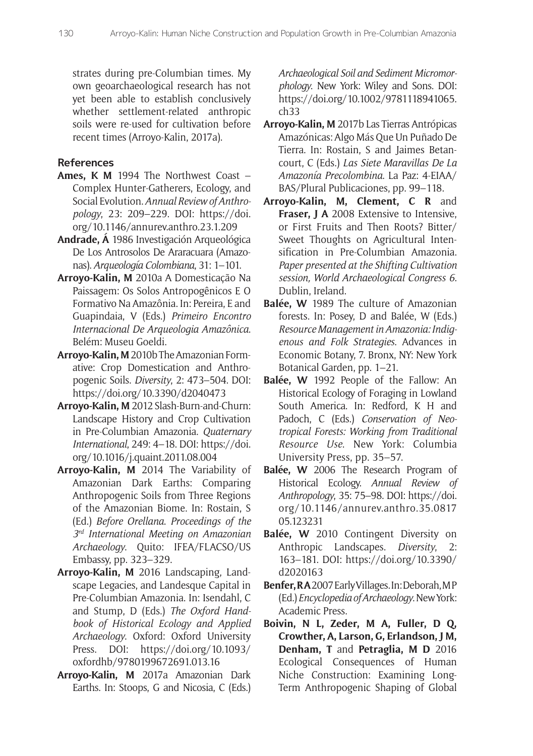strates during pre-Columbian times. My own geoarchaeological research has not yet been able to establish conclusively whether settlement-related anthropic soils were re-used for cultivation before recent times (Arroyo-Kalin, 2017a).

## **References**

- **Ames, K M** 1994 The Northwest Coast Complex Hunter-Gatherers, Ecology, and Social Evolution. *Annual Review of Anthropology*, 23: 209–229. DOI: [https://doi.](https://doi.org/10.1146/annurev.anthro.23.1.209) [org/10.1146/annurev.anthro.23.1.209](https://doi.org/10.1146/annurev.anthro.23.1.209)
- **Andrade, Á** 1986 Investigación Arqueológica De Los Antrosolos De Araracuara (Amazonas). *Arqueología Colombiana*, 31: 1–101.
- **Arroyo-Kalin, M** 2010a A Domesticação Na Paissagem: Os Solos Antropogênicos E O Formativo Na Amazônia. In: Pereira, E and Guapindaia, V (Eds.) *Primeiro Encontro Internacional De Arqueologia Amazônica*. Belém: Museu Goeldi.
- **Arroyo-Kalin, M** 2010b The Amazonian Formative: Crop Domestication and Anthropogenic Soils. *Diversity*, 2: 473–504. DOI: <https://doi.org/10.3390/d2040473>
- **Arroyo-Kalin, M** 2012 Slash-Burn-and-Churn: Landscape History and Crop Cultivation in Pre-Columbian Amazonia. *Quaternary International*, 249: 4–18. DOI: [https://doi.](https://doi.org/10.1016/j.quaint.2011.08.004) [org/10.1016/j.quaint.2011.08.004](https://doi.org/10.1016/j.quaint.2011.08.004)
- **Arroyo-Kalin, M** 2014 The Variability of Amazonian Dark Earths: Comparing Anthropogenic Soils from Three Regions of the Amazonian Biome. In: Rostain, S (Ed.) *Before Orellana*. *Proceedings of the 3rd International Meeting on Amazonian Archaeology*. Quito: IFEA/FLACSO/US Embassy, pp. 323–329.
- **Arroyo-Kalin, M** 2016 Landscaping, Landscape Legacies, and Landesque Capital in Pre-Columbian Amazonia. In: Isendahl, C and Stump, D (Eds.) *The Oxford Handbook of Historical Ecology and Applied Archaeology*. Oxford: Oxford University Press. DOI: [https://doi.org/10.1093/](https://doi.org/10.1093/oxfordhb/9780199672691.013.16) [oxfordhb/9780199672691.013.16](https://doi.org/10.1093/oxfordhb/9780199672691.013.16)
- **Arroyo-Kalin, M** 2017a Amazonian Dark Earths. In: Stoops, G and Nicosia, C (Eds.)

*Archaeological Soil and Sediment Micromorphology*. New York: Wiley and Sons. DOI: [https://doi.org/10.1002/9781118941065.](https://doi.org/10.1002/9781118941065.ch33) [ch33](https://doi.org/10.1002/9781118941065.ch33)

- **Arroyo-Kalin, M** 2017b Las Tierras Antrópicas Amazónicas: Algo Más Que Un Puñado De Tierra. In: Rostain, S and Jaimes Betancourt, C (Eds.) *Las Siete Maravillas De La Amazonía Precolombina*. La Paz: 4-EIAA/ BAS/Plural Publicaciones, pp. 99–118.
- **Arroyo-Kalin, M, Clement, C R** and **Fraser, J A** 2008 Extensive to Intensive, or First Fruits and Then Roots? Bitter/ Sweet Thoughts on Agricultural Intensification in Pre-Columbian Amazonia. *Paper presented at the Shifting Cultivation session, World Archaeological Congress 6*. Dublin, Ireland.
- **Balée, W** 1989 The culture of Amazonian forests. In: Posey, D and Balée, W (Eds.) *Resource Management in Amazonia: Indigenous and Folk Strategies*. Advances in Economic Botany, 7. Bronx, NY: New York Botanical Garden, pp. 1–21.
- **Balée, W** 1992 People of the Fallow: An Historical Ecology of Foraging in Lowland South America. In: Redford, K H and Padoch, C (Eds.) *Conservation of Neotropical Forests: Working from Traditional Resource Use*. New York: Columbia University Press, pp. 35–57.
- **Balée, W** 2006 The Research Program of Historical Ecology. *Annual Review of Anthropology*, 35: 75–98. DOI: [https://doi.](https://doi.org/10.1146/annurev.anthro.35.081705.123231) [org/10.1146/annurev.anthro.35.0817](https://doi.org/10.1146/annurev.anthro.35.081705.123231) [05.123231](https://doi.org/10.1146/annurev.anthro.35.081705.123231)
- **Balée, W** 2010 Contingent Diversity on Anthropic Landscapes. *Diversity*, 2: 163–181. DOI: [https://doi.org/10.3390/](https://doi.org/10.3390/d2020163) [d2020163](https://doi.org/10.3390/d2020163)
- **Benfer, R A** 2007 Early Villages. In: Deborah, M P (Ed.) *Encyclopedia of Archaeology*. New York: Academic Press.
- **Boivin, N L, Zeder, M A, Fuller, D Q, Crowther, A, Larson, G, Erlandson, J M, Denham, T** and **Petraglia, M D** 2016 Ecological Consequences of Human Niche Construction: Examining Long-Term Anthropogenic Shaping of Global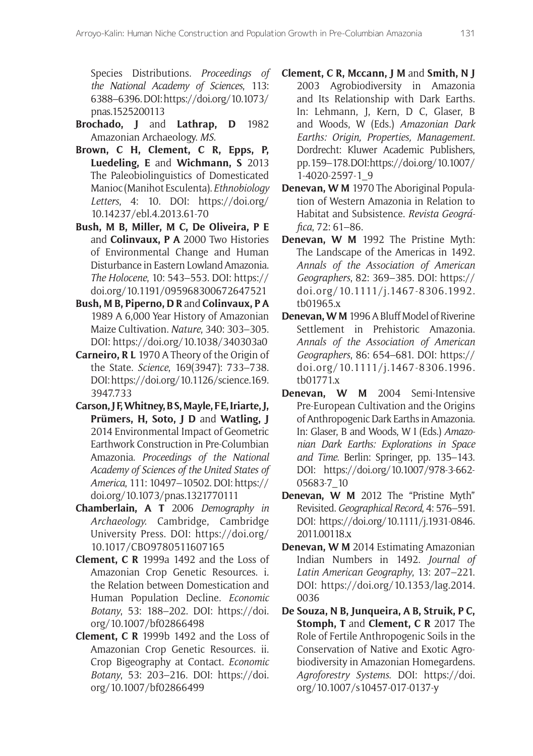Species Distributions. *Proceedings of the National Academy of Sciences*, 113: 6388–6396. DOI: https://doi.org/10.1073/ pnas.1525200113

- **Brochado, J** and **Lathrap, D** 1982 Amazonian Archaeology. *MS*.
- **Brown, C H, Clement, C R, Epps, P, Luedeling, E** and **Wichmann, S** 2013 The Paleobiolinguistics of Domesticated Manioc (Manihot Esculenta). *Ethnobiology Letters*, 4: 10. DOI: [https://doi.org/](https://doi.org/10.14237/ebl.4.2013.61-70) [10.14237/ebl.4.2013.61-70](https://doi.org/10.14237/ebl.4.2013.61-70)
- **Bush, M B, Miller, M C, De Oliveira, P E**  and **Colinvaux, P A** 2000 Two Histories of Environmental Change and Human Disturbance in Eastern Lowland Amazonia. *The Holocene*, 10: 543–553. DOI: [https://](https://doi.org/10.1191/095968300672647521) [doi.org/10.1191/095968300672647521](https://doi.org/10.1191/095968300672647521)
- **Bush, M B, Piperno, D R** and **Colinvaux, P A**  1989 A 6,000 Year History of Amazonian Maize Cultivation. *Nature*, 340: 303–305. DOI: <https://doi.org/10.1038/340303a0>
- **Carneiro, R L** 1970 A Theory of the Origin of the State. *Science*, 169(3947): 733–738. DOI: https://doi.org/10.1126/science.169. 3947.733
- **Carson, J F, Whitney, B S, Mayle, F E, Iriarte, J, Prümers, H, Soto, J D** and **Watling, J**  2014 Environmental Impact of Geometric Earthwork Construction in Pre-Columbian Amazonia. *Proceedings of the National Academy of Sciences of the United States of America*, 111: 10497–10502. DOI: [https://](https://doi.org/10.1073/pnas.1321770111) [doi.org/10.1073/pnas.1321770111](https://doi.org/10.1073/pnas.1321770111)
- **Chamberlain, A T** 2006 *Demography in Archaeology.* Cambridge, Cambridge University Press. DOI: [https://doi.org/](https://doi.org/10.1017/CBO9780511607165) [10.1017/CBO9780511607165](https://doi.org/10.1017/CBO9780511607165)
- **Clement, C R** 1999a 1492 and the Loss of Amazonian Crop Genetic Resources. i. the Relation between Domestication and Human Population Decline. *Economic Botany*, 53: 188–202. DOI: [https://doi.](https://doi.org/10.1007/bf02866498) [org/10.1007/bf02866498](https://doi.org/10.1007/bf02866498)
- **Clement, C R** 1999b 1492 and the Loss of Amazonian Crop Genetic Resources. ii. Crop Bigeography at Contact. *Economic Botany*, 53: 203–216. DOI: [https://doi.](https://doi.org/10.1007/bf02866499) [org/10.1007/bf02866499](https://doi.org/10.1007/bf02866499)
- **Clement, C R, Mccann, J M** and **Smith, N J**  2003 Agrobiodiversity in Amazonia and Its Relationship with Dark Earths. In: Lehmann, J, Kern, D C, Glaser, B and Woods, W (Eds.) *Amazonian Dark Earths: Origin, Properties, Management*. Dordrecht: Kluwer Academic Publishers, pp. 159–178. DOI[: https://doi.org/10.1007/](https://doi.org/10.1007/1-4020-2597-1_9) [1-4020-2597-1\\_9](https://doi.org/10.1007/1-4020-2597-1_9)
- **Denevan, W M** 1970 The Aboriginal Population of Western Amazonia in Relation to Habitat and Subsistence. *Revista Geográfica*, 72: 61–86.
- **Denevan, W M** 1992 The Pristine Myth: The Landscape of the Americas in 1492. *Annals of the Association of American Geographers*, 82: 369–385. DOI: [https://](https://doi.org/10.1111/j.1467-8306.1992.tb01965.x) [doi.org/10.1111/j.1467-8306.1992.](https://doi.org/10.1111/j.1467-8306.1992.tb01965.x) [tb01965.x](https://doi.org/10.1111/j.1467-8306.1992.tb01965.x)
- **Denevan, W M** 1996 A Bluff Model of Riverine Settlement in Prehistoric Amazonia. *Annals of the Association of American Geographers*, 86: 654–681. DOI: [https://](https://doi.org/10.1111/j.1467-8306.1996.tb01771.x) [doi.org/10.1111/j.1467-8306.1996.](https://doi.org/10.1111/j.1467-8306.1996.tb01771.x) [tb01771.x](https://doi.org/10.1111/j.1467-8306.1996.tb01771.x)
- **Denevan, W M** 2004 Semi-Intensive Pre-European Cultivation and the Origins of Anthropogenic Dark Earths in Amazonia. In: Glaser, B and Woods, W I (Eds.) *Amazonian Dark Earths: Explorations in Space and Time*. Berlin: Springer, pp. 135–143. DOI: [https://doi.org/10.1007/978-3-662-](https://doi.org/10.1007/978-3-662-05683-7_10) [05683-7\\_10](https://doi.org/10.1007/978-3-662-05683-7_10)
- **Denevan, W M** 2012 The "Pristine Myth" Revisited. *Geographical Record*, 4: 576–591. DOI: [https://doi.org/10.1111/j.1931-0846.](https://doi.org/10.1111/j.1931-0846.2011.00118.x) [2011.00118.x](https://doi.org/10.1111/j.1931-0846.2011.00118.x)
- **Denevan, W M** 2014 Estimating Amazonian Indian Numbers in 1492. *Journal of Latin American Geography*, 13: 207–221. DOI: [https://doi.org/10.1353/lag.2014.](https://doi.org/10.1353/lag.2014.0036) [0036](https://doi.org/10.1353/lag.2014.0036)
- **De Souza, N B, Junqueira, A B, Struik, P C, Stomph, T** and **Clement, C R** 2017 The Role of Fertile Anthropogenic Soils in the Conservation of Native and Exotic Agrobiodiversity in Amazonian Homegardens. *Agroforestry Systems*. DOI: [https://doi.](https://doi.org/10.1007/s10457-017-0137-y) [org/10.1007/s10457-017-0137-y](https://doi.org/10.1007/s10457-017-0137-y)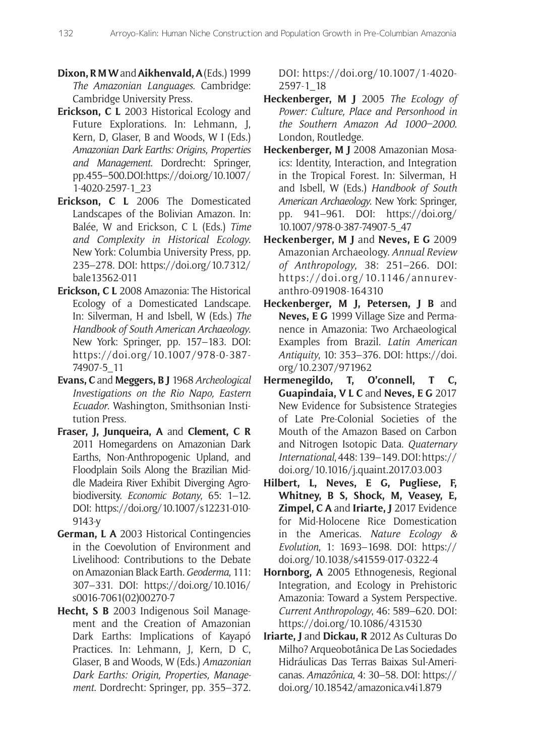- **Dixon, R M W** and **Aikhenvald, A** (Eds.) 1999 *The Amazonian Languages*. Cambridge: Cambridge University Press.
- **Erickson, C L** 2003 Historical Ecology and Future Explorations. In: Lehmann, J, Kern, D, Glaser, B and Woods, W I (Eds.) *Amazonian Dark Earths: Origins, Properties and Management*. Dordrecht: Springer, pp. 455–500. DOI[: https://doi.org/10.1007/](https://doi.org/10.1007/1-4020-2597-1_23) [1-4020-2597-1\\_23](https://doi.org/10.1007/1-4020-2597-1_23)
- **Erickson, C L** 2006 The Domesticated Landscapes of the Bolivian Amazon. In: Balée, W and Erickson, C L (Eds.) *Time and Complexity in Historical Ecology*. New York: Columbia University Press, pp. 235–278. DOI: [https://doi.org/10.7312/](https://doi.org/10.7312/bale13562-011) [bale13562-011](https://doi.org/10.7312/bale13562-011)
- **Erickson, C L** 2008 Amazonia: The Historical Ecology of a Domesticated Landscape. In: Silverman, H and Isbell, W (Eds.) *The Handbook of South American Archaeology*. New York: Springer, pp. 157–183. DOI: [https://doi.org/10.1007/978-0-387-](https://doi.org/10.1007/978-0-387-74907-5_11) [74907-5\\_11](https://doi.org/10.1007/978-0-387-74907-5_11)
- **Evans, C** and **Meggers, B J** 1968 *Archeological Investigations on the Rio Napo, Eastern Ecuador*. Washington, Smithsonian Institution Press.
- **Fraser, J, Junqueira, A** and **Clement, C R**  2011 Homegardens on Amazonian Dark Earths, Non-Anthropogenic Upland, and Floodplain Soils Along the Brazilian Middle Madeira River Exhibit Diverging Agrobiodiversity. *Economic Botany*, 65: 1–12. DOI: [https://doi.org/10.1007/s12231-010-](https://doi.org/10.1007/s12231-010-9143-y) [9143-y](https://doi.org/10.1007/s12231-010-9143-y)
- **German, L A** 2003 Historical Contingencies in the Coevolution of Environment and Livelihood: Contributions to the Debate on Amazonian Black Earth. *Geoderma*, 111: 307–331. DOI: [https://doi.org/10.1016/](https://doi.org/10.1016/s0016-7061(02)00270-7) [s0016-7061\(02\)00270-7](https://doi.org/10.1016/s0016-7061(02)00270-7)
- **Hecht, S B** 2003 Indigenous Soil Management and the Creation of Amazonian Dark Earths: Implications of Kayapó Practices. In: Lehmann, J, Kern, D C, Glaser, B and Woods, W (Eds.) *Amazonian Dark Earths: Origin, Properties, Management*. Dordrecht: Springer, pp. 355–372.

DOI: [https://doi.org/10.1007/1-4020-](https://doi.org/10.1007/1-4020-2597-1_18) [2597-1\\_18](https://doi.org/10.1007/1-4020-2597-1_18)

- **Heckenberger, M J** 2005 *The Ecology of Power: Culture, Place and Personhood in the Southern Amazon Ad 1000–2000*. London, Routledge.
- **Heckenberger, M J** 2008 Amazonian Mosaics: Identity, Interaction, and Integration in the Tropical Forest. In: Silverman, H and Isbell, W (Eds.) *Handbook of South American Archaeology*. New York: Springer, pp. 941–961. DOI: [https://doi.org/](https://doi.org/10.1007/978-0-387-74907-5_47) [10.1007/978-0-387-74907-5\\_47](https://doi.org/10.1007/978-0-387-74907-5_47)
- **Heckenberger, M J** and **Neves, E G** 2009 Amazonian Archaeology. *Annual Review of Anthropology*, 38: 251–266. DOI: [https://doi.org/10.1146/annurev](https://doi.org/10.1146/annurev-anthro-091908-164310)[anthro-091908-164310](https://doi.org/10.1146/annurev-anthro-091908-164310)
- **Heckenberger, M J, Petersen, J B** and **Neves, E G** 1999 Village Size and Permanence in Amazonia: Two Archaeological Examples from Brazil. *Latin American Antiquity*, 10: 353–376. DOI: [https://doi.](https://doi.org/10.2307/971962) [org/10.2307/971962](https://doi.org/10.2307/971962)
- **Hermenegildo, T, O'connell, T C, Guapindaia, V L C** and **Neves, E G** 2017 New Evidence for Subsistence Strategies of Late Pre-Colonial Societies of the Mouth of the Amazon Based on Carbon and Nitrogen Isotopic Data. *Quaternary International*, 448: 139–149. DOI: [https://](https://doi.org/10.1016/j.quaint.2017.03.003) [doi.org/10.1016/j.quaint.2017.03.003](https://doi.org/10.1016/j.quaint.2017.03.003)
- **Hilbert, L, Neves, E G, Pugliese, F, Whitney, B S, Shock, M, Veasey, E, Zimpel, C A** and **Iriarte, J** 2017 Evidence for Mid-Holocene Rice Domestication in the Americas. *Nature Ecology & Evolution*, 1: 1693–1698. DOI: [https://](https://doi.org/10.1038/s41559-017-0322-4) [doi.org/10.1038/s41559-017-0322-4](https://doi.org/10.1038/s41559-017-0322-4)
- **Hornborg, A** 2005 Ethnogenesis, Regional Integration, and Ecology in Prehistoric Amazonia: Toward a System Perspective. *Current Anthropology*, 46: 589–620. DOI: <https://doi.org/10.1086/431530>
- **Iriarte, J** and **Dickau, R** 2012 As Culturas Do Milho? Arqueobotânica De Las Sociedades Hidráulicas Das Terras Baixas Sul-Americanas. *Amazônica*, 4: 30–58. DOI: [https://](https://doi.org/10.18542/amazonica.v4i1.879) [doi.org/10.18542/amazonica.v4i1.879](https://doi.org/10.18542/amazonica.v4i1.879)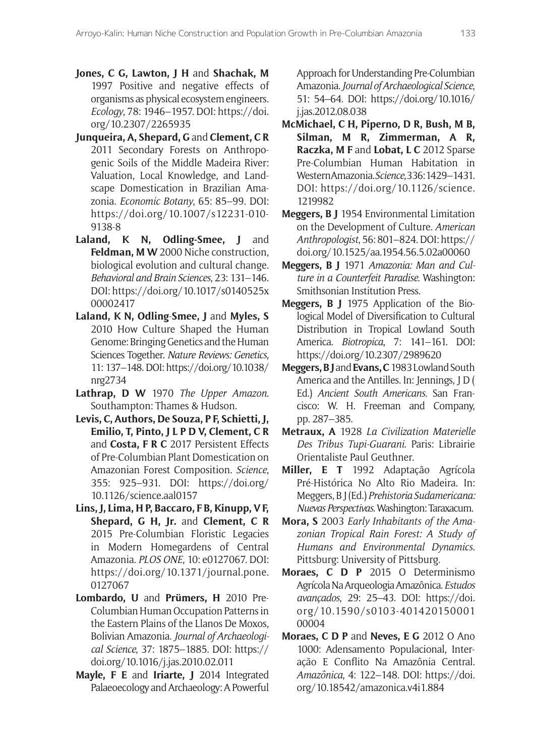- **Jones, C G, Lawton, J H** and **Shachak, M**  1997 Positive and negative effects of organisms as physical ecosystem engineers. *Ecology*, 78: 1946–1957. DOI: [https://doi.](https://doi.org/10.2307/2265935) [org/10.2307/2265935](https://doi.org/10.2307/2265935)
- **Junqueira, A, Shepard, G** and **Clement, C R**  2011 Secondary Forests on Anthropogenic Soils of the Middle Madeira River: Valuation, Local Knowledge, and Landscape Domestication in Brazilian Amazonia. *Economic Botany*, 65: 85–99. DOI: [https://doi.org/10.1007/s12231-010-](https://doi.org/10.1007/s12231-010-9138-8) [9138-8](https://doi.org/10.1007/s12231-010-9138-8)
- Laland, K N, Odling-Smee, J and **Feldman, M W** 2000 Niche construction, biological evolution and cultural change. *Behavioral and Brain Sciences*, 23: 131–146. DOI: [https://doi.org/10.1017/s0140525x](https://doi.org/10.1017/s0140525x00002417) [00002417](https://doi.org/10.1017/s0140525x00002417)
- **Laland, K N, Odling**-**Smee, J** and **Myles, S**  2010 How Culture Shaped the Human Genome: Bringing Genetics and the Human Sciences Together. *Nature Reviews: Genetics*, 11: 137–148. DOI: [https://doi.org/10.1038/](https://doi.org/10.1038/nrg2734) [nrg2734](https://doi.org/10.1038/nrg2734)
- **Lathrap, D W** 1970 *The Upper Amazon*. Southampton: Thames & Hudson.
- **Levis, C, Authors, De Souza, P F, Schietti, J, Emilio, T, Pinto, J L P D V, Clement, C R**  and **Costa, F R C** 2017 Persistent Effects of Pre-Columbian Plant Domestication on Amazonian Forest Composition. *Science*, 355: 925–931. DOI: [https://doi.org/](https://doi.org/10.1126/science.aal0157) [10.1126/science.aal0157](https://doi.org/10.1126/science.aal0157)
- **Lins, J, Lima, H P, Baccaro, F B, Kinupp, V F, Shepard, G H, Jr.** and **Clement, C R**  2015 Pre-Columbian Floristic Legacies in Modern Homegardens of Central Amazonia. *PLOS ONE*, 10: e0127067. DOI: https://doi.org/10.1371/journal.pone. 0127067
- **Lombardo, U** and **Prümers, H** 2010 Pre-Columbian Human Occupation Patterns in the Eastern Plains of the Llanos De Moxos, Bolivian Amazonia. *Journal of Archaeological Science*, 37: 1875–1885. DOI: [https://](https://doi.org/10.1016/j.jas.2010.02.011) [doi.org/10.1016/j.jas.2010.02.011](https://doi.org/10.1016/j.jas.2010.02.011)
- **Mayle, F E** and **Iriarte, J** 2014 Integrated Palaeoecology and Archaeology: A Powerful

Approach for Understanding Pre-Columbian Amazonia. *Journal of Archaeological Science*, 51: 54–64. DOI: [https://doi.org/10.1016/](https://doi.org/10.1016/j.jas.2012.08.038) [j.jas.2012.08.038](https://doi.org/10.1016/j.jas.2012.08.038)

- **McMichael, C H, Piperno, D R, Bush, M B, Silman, M R, Zimmerman, A R, Raczka, M F** and **Lobat, L C** 2012 Sparse Pre-Columbian Human Habitation in Western Amazonia. *Science*, 336: 1429–1431. DOI: [https://doi.org/10.1126/science.](https://doi.org/10.1126/science.1219982) [1219982](https://doi.org/10.1126/science.1219982)
- **Meggers, B J** 1954 Environmental Limitation on the Development of Culture. *American Anthropologist*, 56: 801–824. DOI: [https://](https://doi.org/10.1525/aa.1954.56.5.02a00060) [doi.org/10.1525/aa.1954.56.5.02a00060](https://doi.org/10.1525/aa.1954.56.5.02a00060)
- **Meggers, B J** 1971 *Amazonia: Man and Culture in a Counterfeit Paradise*. Washington: Smithsonian Institution Press.
- **Meggers, B J** 1975 Application of the Biological Model of Diversification to Cultural Distribution in Tropical Lowland South America. *Biotropica*, 7: 141–161. DOI: <https://doi.org/10.2307/2989620>
- **Meggers, B J** and **Evans, C** 1983 Lowland South America and the Antilles. In: Jennings, J D ( Ed.) *Ancient South Americans*. San Francisco: W. H. Freeman and Company, pp. 287–385.
- **Metraux, A** 1928 *La Civilization Materielle Des Tribus Tupi-Guarani*. Paris: Librairie Orientaliste Paul Geuthner.
- **Miller, E T** 1992 Adaptação Agrícola Pré-Histórica No Alto Rio Madeira. In: Meggers, B J (Ed.) *Prehistoria Sudamericana: Nuevas Perspectivas*. Washington: Taraxacum.
- **Mora, S** 2003 *Early Inhabitants of the Amazonian Tropical Rain Forest: A Study of Humans and Environmental Dynamics*. Pittsburg: University of Pittsburg.
- **Moraes, C D P** 2015 O Determinismo Agrícola Na Arqueologia Amazônica. *Estudos avançados*, 29: 25–43. DOI: [https://doi.](https://doi.org/10.1590/s0103-40142015000100004) [org/10.1590/s0103-401420150001](https://doi.org/10.1590/s0103-40142015000100004) [00004](https://doi.org/10.1590/s0103-40142015000100004)
- **Moraes, C D P** and **Neves, E G** 2012 O Ano 1000: Adensamento Populacional, Interação E Conflito Na Amazônia Central. *Amazônica*, 4: 122–148. DOI: [https://doi.](https://doi.org/10.18542/amazonica.v4i1.884) [org/10.18542/amazonica.v4i1.884](https://doi.org/10.18542/amazonica.v4i1.884)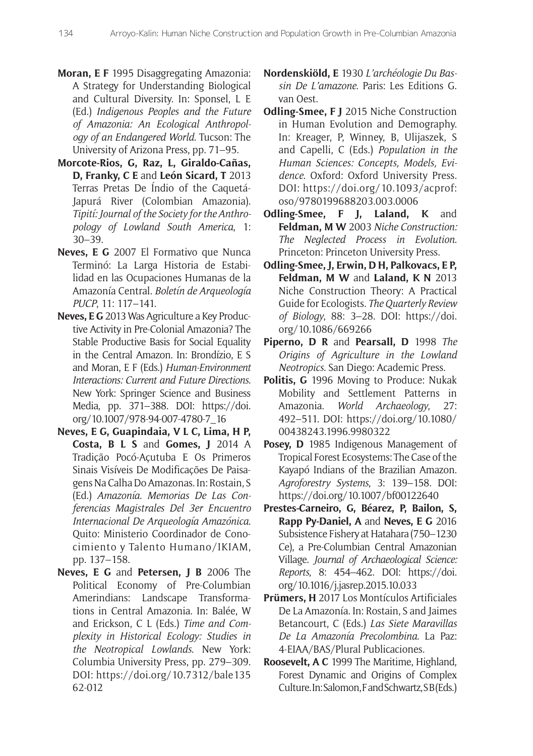- **Moran, E F** 1995 Disaggregating Amazonia: A Strategy for Understanding Biological and Cultural Diversity. In: Sponsel, L E (Ed.) *Indigenous Peoples and the Future of Amazonia: An Ecological Anthropology of an Endangered World*. Tucson: The University of Arizona Press, pp. 71–95.
- **Morcote-Rios, G, Raz, L, Giraldo-Cañas, D, Franky, C E** and **León Sicard, T** 2013 Terras Pretas De Índio of the Caquetá-Japurá River (Colombian Amazonia). *Tipití: Journal of the Society for the Anthropology of Lowland South America*, 1: 30–39.
- **Neves, E G** 2007 El Formativo que Nunca Terminó: La Larga Historia de Estabilidad en las Ocupaciones Humanas de la Amazonía Central. *Boletín de Arqueología PUCP*, 11: 117–141.
- **Neves, E G** 2013 Was Agriculture a Key Productive Activity in Pre-Colonial Amazonia? The Stable Productive Basis for Social Equality in the Central Amazon. In: Brondízio, E S and Moran, E F (Eds.) *Human-Environment Interactions: Current and Future Directions*. New York: Springer Science and Business Media, pp. 371–388. DOI: [https://doi.](https://doi.org/10.1007/978-94-007-4780-7_16) [org/10.1007/978-94-007-4780-7\\_16](https://doi.org/10.1007/978-94-007-4780-7_16)
- **Neves, E G, Guapindaia, V L C, Lima, H P, Costa, B L S** and **Gomes, J** 2014 A Tradição Pocó-Açutuba E Os Primeros Sinais Visíveis De Modificações De Paisagens Na Calha Do Amazonas. In: Rostain, S (Ed.) *Amazonía. Memorias De Las Conferencias Magistrales Del 3er Encuentro Internacional De Arqueología Amazónica*. Quito: Ministerio Coordinador de Conocimiento y Talento Humano/IKIAM, pp. 137–158.
- **Neves, E G** and **Petersen, J B** 2006 The Political Economy of Pre-Columbian Amerindians: Landscape Transformations in Central Amazonia. In: Balée, W and Erickson, C L (Eds.) *Time and Complexity in Historical Ecology: Studies in the Neotropical Lowlands*. New York: Columbia University Press, pp. 279–309. DOI: [https://doi.org/10.7312/bale135](https://doi.org/10.7312/bale13562-012) [62-012](https://doi.org/10.7312/bale13562-012)
- **Nordenskiöld, E** 1930 *L'archéologie Du Bassin De L'amazone*. Paris: Les Editions G. van Oest.
- **Odling-Smee, F J** 2015 Niche Construction in Human Evolution and Demography. In: Kreager, P, Winney, B, Ulijaszek, S and Capelli, C (Eds.) *Population in the Human Sciences: Concepts, Models, Evidence*. Oxford: Oxford University Press. DOI: [https://doi.org/10.1093/acprof:](https://doi.org/10.1093/acprof:oso/9780199688203.003.0006) [oso/9780199688203.003.0006](https://doi.org/10.1093/acprof:oso/9780199688203.003.0006)
- **Odling-Smee, F J, Laland, K** and **Feldman, M W** 2003 *Niche Construction: The Neglected Process in Evolution*. Princeton: Princeton University Press.
- **Odling-Smee, J, Erwin, D H, Palkovacs, E P,**  Feldman, M W and Laland, K N 2013 Niche Construction Theory: A Practical Guide for Ecologists. *The Quarterly Review of Biology*, 88: 3–28. DOI: [https://doi.](https://doi.org/10.1086/669266) [org/10.1086/669266](https://doi.org/10.1086/669266)
- **Piperno, D R** and **Pearsall, D** 1998 *The Origins of Agriculture in the Lowland Neotropics*. San Diego: Academic Press.
- **Politis, G** 1996 Moving to Produce: Nukak Mobility and Settlement Patterns in Amazonia. *World Archaeology*, 27: 492–511. DOI: [https://doi.org/10.1080/](https://doi.org/10.1080/00438243.1996.9980322) [00438243.1996.9980322](https://doi.org/10.1080/00438243.1996.9980322)
- Posey, D 1985 Indigenous Management of Tropical Forest Ecosystems: The Case of the Kayapó Indians of the Brazilian Amazon. *Agroforestry Systems*, 3: 139–158. DOI: <https://doi.org/10.1007/bf00122640>
- **Prestes-Carneiro, G, Béarez, P, Bailon, S, Rapp Py-Daniel, A** and **Neves, E G** 2016 Subsistence Fishery at Hatahara (750–1230 Ce), a Pre-Columbian Central Amazonian Village. *Journal of Archaeological Science: Reports*, 8: 454–462. DOI: [https://doi.](https://doi.org/10.1016/j.jasrep.2015.10.033) [org/10.1016/j.jasrep.2015.10.033](https://doi.org/10.1016/j.jasrep.2015.10.033)
- **Prümers, H** 2017 Los Montículos Artificiales De La Amazonía. In: Rostain, S and Jaimes Betancourt, C (Eds.) *Las Siete Maravillas De La Amazonía Precolombina*. La Paz: 4-EIAA/BAS/Plural Publicaciones.
- **Roosevelt, A C** 1999 The Maritime, Highland, Forest Dynamic and Origins of Complex Culture. In: Salomon, F and Schwartz, S B (Eds.)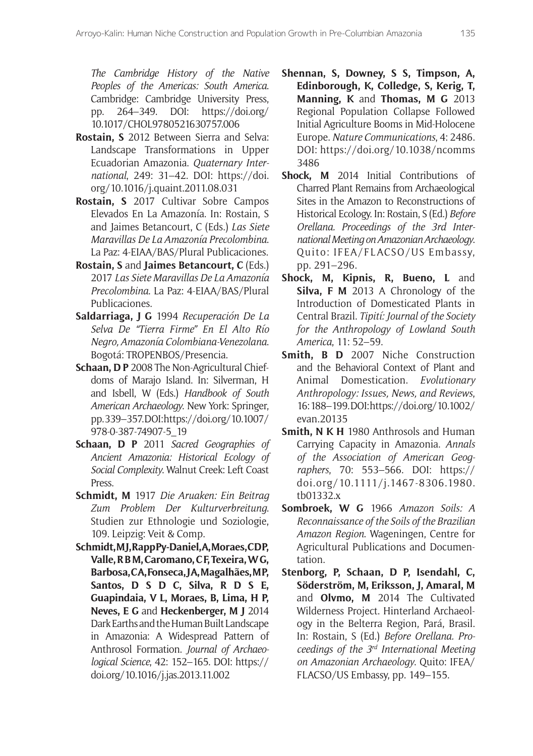*The Cambridge History of the Native Peoples of the Americas: South America*. Cambridge: Cambridge University Press, pp. 264–349. DOI: [https://doi.org/](https://doi.org/10.1017/CHOL9780521630757.006) [10.1017/CHOL9780521630757.006](https://doi.org/10.1017/CHOL9780521630757.006)

- **Rostain, S** 2012 Between Sierra and Selva: Landscape Transformations in Upper Ecuadorian Amazonia. *Quaternary International*, 249: 31–42. DOI: [https://doi.](https://doi.org/10.1016/j.quaint.2011.08.031) [org/10.1016/j.quaint.2011.08.031](https://doi.org/10.1016/j.quaint.2011.08.031)
- **Rostain, S** 2017 Cultivar Sobre Campos Elevados En La Amazonía. In: Rostain, S and Jaimes Betancourt, C (Eds.) *Las Siete Maravillas De La Amazonía Precolombina*. La Paz: 4-EIAA/BAS/Plural Publicaciones.
- **Rostain, S** and **Jaimes Betancourt, C** (Eds.) 2017 *Las Siete Maravillas De La Amazonía Precolombina*. La Paz: 4-EIAA/BAS/Plural Publicaciones.
- **Saldarriaga, J G** 1994 *Recuperación De La Selva De "Tierra Firme" En El Alto Río Negro, Amazonía Colombiana-Venezolana*. Bogotá: TROPENBOS/Presencia.
- **Schaan, D P** 2008 The Non-Agricultural Chiefdoms of Marajo Island. In: Silverman, H and Isbell, W (Eds.) *Handbook of South American Archaeology*. New York: Springer, pp. 339–357. DOI: [https://doi.org/10.1007/](https://doi.org/10.1007/978-0-387-74907-5_19) [978-0-387-74907-5\\_19](https://doi.org/10.1007/978-0-387-74907-5_19)
- **Schaan, D P** 2011 *Sacred Geographies of Ancient Amazonia: Historical Ecology of Social Complexity*. Walnut Creek: Left Coast Press.
- **Schmidt, M** 1917 *Die Aruaken: Ein Beitrag Zum Problem Der Kulturverbreitung*. Studien zur Ethnologie und Soziologie, 109. Leipzig: Veit & Comp.
- Schmidt, MJ, Rapp Py-Daniel, A, Moraes, CDP, **Valle, R B M, Caromano, C F, Texeira, W G, Barbosa, C A, Fonseca, J A, Magalhães, M P, Santos, D S D C, Silva, R D S E, Guapindaia, V L, Moraes, B, Lima, H P, Neves, E G** and **Heckenberger, M J** 2014 Dark Earths and the Human Built Landscape in Amazonia: A Widespread Pattern of Anthrosol Formation. *Journal of Archaeological Science*, 42: 152–165. DOI: [https://](https://doi.org/10.1016/j.jas.2013.11.002) [doi.org/10.1016/j.jas.2013.11.002](https://doi.org/10.1016/j.jas.2013.11.002)
- **Shennan, S, Downey, S S, Timpson, A, Edinborough, K, Colledge, S, Kerig, T, Manning, K** and **Thomas, M G** 2013 Regional Population Collapse Followed Initial Agriculture Booms in Mid-Holocene Europe. *Nature Communications*, 4: 2486. DOI: [https://doi.org/10.1038/ncomms](https://doi.org/10.1038/ncomms3486) [3486](https://doi.org/10.1038/ncomms3486)
- **Shock, M** 2014 Initial Contributions of Charred Plant Remains from Archaeological Sites in the Amazon to Reconstructions of Historical Ecology. In: Rostain, S (Ed.) *Before Orellana. Proceedings of the 3rd International Meeting on Amazonian Archaeology*. Quito: IFEA/FLACSO/US Embassy, pp. 291–296.
- **Shock, M, Kipnis, R, Bueno, L** and **Silva, F M** 2013 A Chronology of the Introduction of Domesticated Plants in Central Brazil. *Tipití: Journal of the Society for the Anthropology of Lowland South America*, 11: 52–59.
- **Smith, B D** 2007 Niche Construction and the Behavioral Context of Plant and Animal Domestication. *Evolutionary Anthropology: Issues, News, and Reviews*, 16: 188–199. DOI: [https://doi.org/10.1002/](https://doi.org/10.1002/evan.20135) [evan.20135](https://doi.org/10.1002/evan.20135)
- **Smith, N K H** 1980 Anthrosols and Human Carrying Capacity in Amazonia. *Annals of the Association of American Geographers*, 70: 553–566. DOI: [https://](https://doi.org/10.1111/j.1467-8306.1980.tb01332.x) [doi.org/10.1111/j.1467-8306.1980.](https://doi.org/10.1111/j.1467-8306.1980.tb01332.x) [tb01332.x](https://doi.org/10.1111/j.1467-8306.1980.tb01332.x)
- **Sombroek, W G** 1966 *Amazon Soils: A Reconnaissance of the Soils of the Brazilian Amazon Region*. Wageningen, Centre for Agricultural Publications and Documentation.
- **Stenborg, P, Schaan, D P, Isendahl, C, Söderström, M, Eriksson, J, Amaral, M**  and **Olvmo, M** 2014 The Cultivated Wilderness Project. Hinterland Archaeology in the Belterra Region, Pará, Brasil. In: Rostain, S (Ed.) *Before Orellana. Proceedings of the 3rd International Meeting on Amazonian Archaeology*. Quito: IFEA/ FLACSO/US Embassy, pp. 149–155.